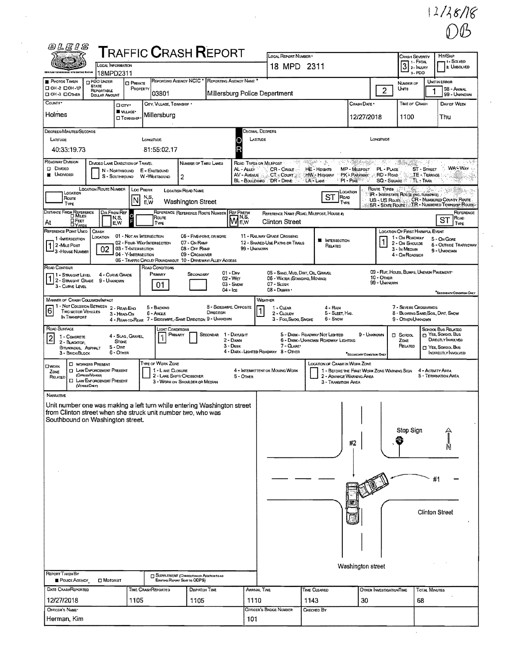$\frac{12}{8}$ 

| 0LEIS                                                                                                                                                                                                              |                                           |                                                                                                                        |                                                             |                                            |                                                        |                             |                                                             | <b>T</b> RAFFIC <b>C</b> RASH <b>R</b> EPORT                                            |                                                          |                         | LOCAL REPORT NUMBER                                                                                               |                     |                                                                                                                                  |                                                                                                                                                                                                                                |                            |                                                                      | Crash Severity                                     | HIT/SKIP                                                                                                      |
|--------------------------------------------------------------------------------------------------------------------------------------------------------------------------------------------------------------------|-------------------------------------------|------------------------------------------------------------------------------------------------------------------------|-------------------------------------------------------------|--------------------------------------------|--------------------------------------------------------|-----------------------------|-------------------------------------------------------------|-----------------------------------------------------------------------------------------|----------------------------------------------------------|-------------------------|-------------------------------------------------------------------------------------------------------------------|---------------------|----------------------------------------------------------------------------------------------------------------------------------|--------------------------------------------------------------------------------------------------------------------------------------------------------------------------------------------------------------------------------|----------------------------|----------------------------------------------------------------------|----------------------------------------------------|---------------------------------------------------------------------------------------------------------------|
|                                                                                                                                                                                                                    |                                           |                                                                                                                        | LOCAL INFORMATION                                           |                                            |                                                        |                             |                                                             |                                                                                         |                                                          |                         | 18 MPD 2311                                                                                                       |                     |                                                                                                                                  |                                                                                                                                                                                                                                |                            | 3                                                                    | 1 1 - Fatal<br>2- INJURY                           | 11 - SOLVED<br><b>2. UNSOLVED</b>                                                                             |
|                                                                                                                                                                                                                    |                                           |                                                                                                                        | 18MPD2311                                                   |                                            |                                                        |                             | REPORTING AGENCY NCIC                                       |                                                                                         | REPORTING AGENCY NAME                                    |                         |                                                                                                                   |                     |                                                                                                                                  |                                                                                                                                                                                                                                |                            |                                                                      | 3-PDO                                              |                                                                                                               |
| PHOTOS TAKEN<br><b>Q OH-2 DOH-1P</b><br><b>DOH-3 DOTHER</b>                                                                                                                                                        |                                           | <b>PDO UNDER</b><br><b>STATE</b><br>REPORTABLE<br><b>DOLLAR AMOUNT</b>                                                 |                                                             | <b>CI PRIVATE</b><br>PROPERTY              | 03801                                                  |                             |                                                             |                                                                                         |                                                          |                         | Millersburg Police Department                                                                                     |                     |                                                                                                                                  |                                                                                                                                                                                                                                | $\overline{2}$             | NUMBER OF<br>Units                                                   |                                                    | UNIT IN ERROR<br>98 - ANIMAL<br>99 - Unknown                                                                  |
| COUNTY'                                                                                                                                                                                                            |                                           |                                                                                                                        | O any<br><b>WILLAGE*</b>                                    |                                            |                                                        | CITY, VILLAGE, TOWNSHIP *   |                                                             |                                                                                         |                                                          |                         |                                                                                                                   |                     |                                                                                                                                  | Crash Date *                                                                                                                                                                                                                   |                            |                                                                      | TIME OF CRASH                                      | DAY OF WEEK                                                                                                   |
| Holmes                                                                                                                                                                                                             |                                           |                                                                                                                        | <b>D</b> TOWNSHIP                                           |                                            | Millersburg                                            |                             |                                                             |                                                                                         |                                                          |                         |                                                                                                                   |                     |                                                                                                                                  | 12/27/2018                                                                                                                                                                                                                     |                            | 1100                                                                 |                                                    | Thu                                                                                                           |
| Degrees/MINUTES/SECONDS<br>LATTUDE                                                                                                                                                                                 |                                           |                                                                                                                        |                                                             |                                            | LONGITUDE                                              |                             |                                                             |                                                                                         |                                                          | LATTUDE                 | DECIMAL DEGREES                                                                                                   |                     |                                                                                                                                  |                                                                                                                                                                                                                                | LONGITUDE                  |                                                                      |                                                    |                                                                                                               |
| 40:33:19.73                                                                                                                                                                                                        |                                           |                                                                                                                        |                                                             |                                            | 81:55:02.17                                            |                             |                                                             |                                                                                         | O<br>R                                                   |                         |                                                                                                                   |                     |                                                                                                                                  |                                                                                                                                                                                                                                |                            |                                                                      |                                                    |                                                                                                               |
| ROADWAY DIVISION<br><b>D</b> DIMDED<br><b>UNDIVIDED</b>                                                                                                                                                            |                                           | DIVIDED LANE DIRECTION OF TRAVEL                                                                                       | N - NORTHBOUND<br>S - SOUTHBOUND                            |                                            | E - EASTBOUND<br>W -WESTBOUND                          |                             | NUMBER OF THRU LANES<br>$\overline{c}$                      |                                                                                         | AL - ALLEY<br><b>AV - AVENUE</b>                         |                         | ROAD TYPES OR MILEPOST AND STREET AND STREET<br>$CR$ - Circle $\cdots$<br>CT - Count<br>BL - BOULEVARD DR - DRIVE | LA-LANE             | <b>HE-HEGHTS</b><br><b>HW - Highway</b>                                                                                          | $\mathcal{L} \left( \mathcal{L} \right) = \mathcal{L} \left( \mathcal{L} \right) \mathcal{L} \left( \mathcal{L} \right) = \mathcal{L} \left( \mathcal{L} \right)$<br>MP - MILEPOST<br><b>PK - PARKWAY</b><br>$\cdot$ PI - PIKE | PL - PLACE<br>RD - Road    | <b>SQ - SQUARE</b>                                                   | ST - STREET<br>TE - TERRACE<br>$T_{\rm L}$ + Trail | <b>WAS WAY</b>                                                                                                |
| Route<br>TYPE                                                                                                                                                                                                      | LOCATION                                  | <b>LOCATION ROUTE NUMBER</b>                                                                                           |                                                             | LOC PREFIX<br>M                            | N,S,<br>E,W                                            |                             | LOCATION ROAD NAME<br>Washington Street                     |                                                                                         |                                                          |                         |                                                                                                                   |                     | <b>ST</b><br><b>FOAD</b><br>TYPE                                                                                                 | LOCATION                                                                                                                                                                                                                       | ROUTE TYPES<br>US-US Route | IR - INTERSTATE ROUTE (INC. TURNPIKE)                                |                                                    | CR - NUMBERED COUNTY ROUTE<br>SR - STATE ROUTE TR - NUMBERED TOWNSHIP ROUTE                                   |
| DISTANCE FROM REFERENCE                                                                                                                                                                                            |                                           |                                                                                                                        | <b>DIR FROM REF</b><br>N,S,                                 | $\circ$                                    | ROUTE                                                  |                             | REFERENCE REFERENCE ROUTE NUMBER                            |                                                                                         | <b>REF PREFIX</b><br><b>MAS</b>                          |                         | REFERENCE NAME (ROAD, MILEPOST, HOUSE 0)                                                                          |                     |                                                                                                                                  |                                                                                                                                                                                                                                |                            |                                                                      |                                                    | REFERENCE<br>Roap<br>ST                                                                                       |
| At<br>REFERENCE POINT USED                                                                                                                                                                                         | <b>DFEET</b>                              | CRASH                                                                                                                  | E.W                                                         |                                            | TYPE                                                   |                             |                                                             |                                                                                         |                                                          |                         | <b>Clinton Street</b>                                                                                             |                     |                                                                                                                                  |                                                                                                                                                                                                                                |                            | LOCATION OF FIRST HARMFUL EVENT                                      |                                                    | TYPE                                                                                                          |
| 1-INTERSECTION<br>2 -MILE Post<br><sup>J</sup> 3 - House Number                                                                                                                                                    |                                           | LOCATION<br>02                                                                                                         |                                                             | 03 - T-INTERSECTION<br>04 - Y-INTERSECTION | 01 - Not an Intersection<br>02 - Four-Way Intersection |                             | 07 - ON RAMP<br>08 - OFF RAMP<br>09 - CROSSOVER             | 06 - FIVE-POINT, OR MORE<br>05 - TRAFFIC CIRCLE/ ROUNDABOUT 10 - DRIVEWAY/ ALLEY ACCESS | 99 - UNKNOWN                                             |                         | 11 - RAILWAY GRADE CROSSING<br>12 - SHARED-USE PATHS OR TRAILS                                                    |                     | <b>W</b> INTERSECTION<br>RELATED                                                                                                 |                                                                                                                                                                                                                                |                            | 1 - On ROADWAY<br>2 - On Shoulde<br>3 - In Median<br>4 - ON ROADSIDE |                                                    | 5 - ON GORE<br><b>6 - OUTSIDE TRAFFICWAY</b><br>9 - UNKNOWN                                                   |
| ROAD CONTOUR<br>1 - STRAIGHT LEVEL<br>1 - STRAIGHT LEVEL<br>3 - CURVE LEVEL                                                                                                                                        |                                           |                                                                                                                        | 4 - CURVE GRADE<br>9 - Unknown                              |                                            | ROAD CONDITIONS<br>PRIMARY<br>01                       |                             | SECONDARY                                                   |                                                                                         | $01 - \text{Day}$<br>02 - WET<br>$03 -$ SNOW<br>04 - Ice |                         | 05 - SAND, MUD, DIRT, OIL GRAVEL<br>05 - WATER (STANDING, MOVING)<br>07 - SLUSH<br>08 - DEBRIS                    |                     |                                                                                                                                  |                                                                                                                                                                                                                                | 10 - OTHER<br>99 - Unknown | 09 - RUT, HOLES, BUMPS, UNEVEN PAVEMENT*                             |                                                    |                                                                                                               |
| <b>MANINER OF CRASH COLUSION/IMPACT</b><br>$\boxed{6}$                                                                                                                                                             | <b>TWO MOTOR VEHICLES</b><br>IN TRANSPORT | 1 - Not Collision Between                                                                                              | 2 - REAR-END<br>3 - HEAD-ON                                 |                                            | 5 - BACKING<br>6 - Angle                               |                             |                                                             | DIRECTION<br>4 - REAR-TO-REAR 7 - SIDESWIPE, -SAME DIRECTION 9 - UNKNOWN                | 8 - SIDESWIPE, OPPOSITE                                  | $\overline{\mathbf{1}}$ | WEATHER<br>1 - CLEAR<br>2 - CLOUDY<br>3 - Fog, Smog, Smoke                                                        |                     | 4 - RAN<br>5 - SLEET, HALL<br>6 - Snow                                                                                           |                                                                                                                                                                                                                                |                            | 9 - Other/Unknown                                                    | 7 - SEVERE CROSSWINDS                              | SECONDARY CONDITION ONLY<br>8 - BLOWING SAND, SOIL, DIRT, SNOW                                                |
| ROAD SURFACE<br>1 - CONCRETE<br>$\left 2\right $<br>2 - BLACKTOP,                                                                                                                                                  | BITUMINOUS, ASPHALT<br>3 - Brick/Block    |                                                                                                                        | 4 - SLAG, GRAVEL,<br><b>STONE</b><br>$5  DIRT$<br>6 - OTHER |                                            |                                                        | Light Conditions<br>PRIMARY |                                                             | <b>SECONDAR</b>                                                                         | 1 - DAYUGHT<br>2 - DAWN<br>$3 - Dusk$                    |                         | $7 - G_{LARE}$<br>4 - DARK - LIGHTED ROADWAY 8 - OTHER                                                            |                     | 5 - DARK - ROADWAY NOT LIGHTED<br>6 - DARK - UNKNOWN ROADWAY LIGHTING                                                            | <b>SECONDARY CONDITION ONLY</b>                                                                                                                                                                                                | 9 - UNKNOWN                | $\square$ School<br>ZONE<br>RELATED                                  |                                                    | <b>SCHOOL BUS RELATED</b><br>NES, SCHOOL BUS<br>DIRECTLY INVOLVED<br>T YES, SCHOOL BUS<br>INDIRECTLY INVOLVED |
| <b>OWORK</b><br>ZONE<br>RELATED                                                                                                                                                                                    | (VEKKLEDKLY)                              | <b>D</b> WORKERS PRESENT<br><b>ET LAW ENFORCEMENT PRESENT</b><br>(OFFICENVEHICLE)<br><b>EJ LAW ENFORCEMENT PRESENT</b> |                                                             |                                            | TYPE OF WORK ZONE                                      | 1 - LANE CLOSURE            | 2 - LANE SHIFT/ CROSSOVER<br>3 - WORK ON SHOULDER OR MEDIAN |                                                                                         | $5 -$ OTHER                                              |                         | 4 - INTERMITTENT OR MOVING WORK                                                                                   |                     | LOCATION OF CRASH IN WORK ZONE<br>1 - BEFORE THE FIRST WORK ZONE WARNING SIGN<br>2 - ADVANCE WARNING AREA<br>3 - TRANSITION AREA |                                                                                                                                                                                                                                |                            |                                                                      |                                                    | 4 - ACTIVITY AREA<br>5 - TERMINATION AREA                                                                     |
| Narrative<br>Unit number one was making a left turn while entering Washington street<br>from Clinton street when she struck unit number two, who was<br>Southbound on Washington street.<br><b>REPORT TAKEN BY</b> |                                           |                                                                                                                        |                                                             |                                            |                                                        |                             | SUPPLEMENT (CORRECTION OF ADDITION'S TO AN                  |                                                                                         |                                                          |                         |                                                                                                                   |                     |                                                                                                                                  | #2<br>Washington street                                                                                                                                                                                                        |                            | Stop Sign                                                            |                                                    | #1<br><b>Clinton Street</b>                                                                                   |
| POLICE AGENCY<br>DATE CRASHREPORTED                                                                                                                                                                                |                                           | <b>CI MOTORIST</b>                                                                                                     |                                                             |                                            | <b>TIME CRASHREPORTED</b>                              |                             | Existing Report Sent to ODPS)<br>DISPATCH TIME              |                                                                                         |                                                          |                         | ARRIVAL TIME                                                                                                      | <b>TIME CLEARED</b> |                                                                                                                                  |                                                                                                                                                                                                                                | OTHER INVESTIGATION TIME   |                                                                      | <b>TOTAL MINUTES</b>                               |                                                                                                               |
| 12/27/2018                                                                                                                                                                                                         |                                           |                                                                                                                        |                                                             | 1105                                       |                                                        |                             | 1105                                                        |                                                                                         |                                                          | 1110                    |                                                                                                                   | 1143                |                                                                                                                                  | 30                                                                                                                                                                                                                             |                            |                                                                      | 68                                                 |                                                                                                               |
| OFFICER'S NAME*<br>Herman, Kim                                                                                                                                                                                     |                                           |                                                                                                                        |                                                             |                                            |                                                        |                             |                                                             |                                                                                         |                                                          |                         | OFFICER'S BADGE NUMBER                                                                                            | CHECKED BY          |                                                                                                                                  |                                                                                                                                                                                                                                |                            |                                                                      |                                                    |                                                                                                               |
|                                                                                                                                                                                                                    |                                           |                                                                                                                        |                                                             |                                            |                                                        |                             |                                                             |                                                                                         |                                                          | 101                     |                                                                                                                   |                     |                                                                                                                                  |                                                                                                                                                                                                                                |                            |                                                                      |                                                    |                                                                                                               |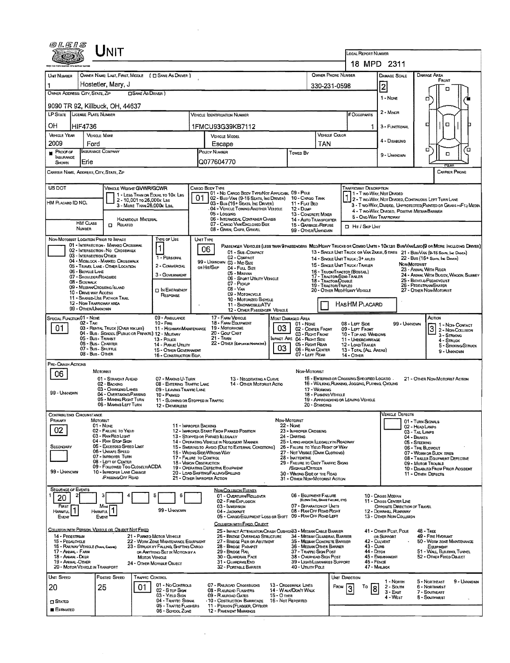|                                                           |                                                      | ${\color{red} \blacksquare}$ NIT                                                             |                                                                                |           |                                                                                                  |                   |                                                                                       |                                                                                 | LOCAL REPORT NUMBER                                                                             |                                                                         |                                                                                                                             |
|-----------------------------------------------------------|------------------------------------------------------|----------------------------------------------------------------------------------------------|--------------------------------------------------------------------------------|-----------|--------------------------------------------------------------------------------------------------|-------------------|---------------------------------------------------------------------------------------|---------------------------------------------------------------------------------|-------------------------------------------------------------------------------------------------|-------------------------------------------------------------------------|-----------------------------------------------------------------------------------------------------------------------------|
|                                                           |                                                      |                                                                                              |                                                                                |           |                                                                                                  |                   |                                                                                       |                                                                                 |                                                                                                 | 18 MPD 2311                                                             |                                                                                                                             |
| UNT NUMBER                                                |                                                      | OWNER NAME: LAST, FIRST, MIDDLE ( C SAME AS DRIVER )                                         |                                                                                |           |                                                                                                  |                   |                                                                                       | <b>OWNER PHONE NUMBER</b>                                                       |                                                                                                 | <b>DAMAGE SCALE</b>                                                     | <b>DAMAGE AREA</b>                                                                                                          |
| 1                                                         |                                                      | Hostetler, Mary, J                                                                           |                                                                                |           |                                                                                                  |                   |                                                                                       | 330-231-0598                                                                    |                                                                                                 | $\overline{2}$                                                          | FRONT<br>п                                                                                                                  |
| OWNER ADDRESS: CITY, STATE, ZIP                           |                                                      | <b>CISAME AS DRIVER</b> )                                                                    |                                                                                |           |                                                                                                  |                   |                                                                                       |                                                                                 | 1 - NONE                                                                                        | α                                                                       |                                                                                                                             |
| LP STATE LICENSE PLATE NUMBER                             |                                                      | 9090 TR 92, Killbuck, OH, 44637                                                              |                                                                                |           | Vehicle Identification Number                                                                    |                   |                                                                                       | # Occupants                                                                     | $2 - M$ INOR                                                                                    |                                                                         |                                                                                                                             |
| OН                                                        | HIF4736                                              |                                                                                              |                                                                                |           | 1FMCU93G39KB7112                                                                                 |                   |                                                                                       |                                                                                 | 1                                                                                               | 3 - FUNCTIONAL                                                          | O<br>п                                                                                                                      |
| <b>VEHICLE YEAR</b>                                       | <b>VEHICLE MAKE</b>                                  |                                                                                              |                                                                                |           | <b>VEHICLE MODEL</b>                                                                             |                   |                                                                                       | VEHICLE COLOR                                                                   |                                                                                                 | 4 - DISABLING                                                           |                                                                                                                             |
| 2009<br>PROOF OF                                          | Ford<br><b>INSURANCE COMPANY</b>                     |                                                                                              |                                                                                |           | Escape<br>POUCY NUMBER                                                                           |                   | Towed By                                                                              | TAN                                                                             |                                                                                                 |                                                                         | п<br>ά<br>$\Box$                                                                                                            |
| <b>NSURANCE</b><br>SHOWN                                  | Erie                                                 |                                                                                              |                                                                                |           | Q077604770                                                                                       |                   |                                                                                       |                                                                                 |                                                                                                 | 9 - UNKNOWN                                                             | RFAR                                                                                                                        |
| CARRIER NAME, ADDRESS, CITY, STATE, ZIP                   |                                                      |                                                                                              |                                                                                |           |                                                                                                  |                   |                                                                                       |                                                                                 |                                                                                                 |                                                                         | CARRIER PHONE                                                                                                               |
| US DOT                                                    |                                                      | VEHICLE WEIGHT GWWR/GCWR                                                                     |                                                                                |           | CARGO BODY TYPE<br>01 - No CARGO BODY TYPE/NOT APPLICABL 09 - POLE                               |                   |                                                                                       |                                                                                 | TRAFFICWAY DESCRIPTION                                                                          | 1 - Two-Way, Not Divided                                                |                                                                                                                             |
| HM PLACARD ID NO.                                         |                                                      | 1 - LESS THAN OR EQUAL TO 10K LBS<br>2 - 10.001 to 26.000 kLas<br>3 - MORE THAN 26,000k LBs. |                                                                                | 01        | 02 - Bus/Van (9-15 Seats, Inc Driver) 10 - Cargo Tank<br>03 - Bus (16+ Seats, Inc Driver)        |                   | 11 - FLAT BED                                                                         |                                                                                 |                                                                                                 |                                                                         | 2 - T WO-WAY, NOT DIVIDED, CONTINUOUS LEFT TURN LANE<br>3 - T WO-WAY, DIVIDED, UNPROTECTED (PAINTED OR GRASS >4FT.) MEDIA   |
|                                                           |                                                      | HAZARDOUS MATERIAL                                                                           |                                                                                |           | 04 - Vehicle Towing Another Verscle<br>05 - Logging<br>06 - INTERMODAL CONTAINER CHASIS          |                   | 12 - Dump<br>13 - CONCRETE MIXER<br>14 - Auto Transporter                             |                                                                                 |                                                                                                 | 4 - Two-Way, Divided. Positive Median Barrier<br>5 - ONE-WAY TRAFFICWAY |                                                                                                                             |
|                                                           | <b>HM CLASS</b><br>NUMBER                            | <b>n</b> Related                                                                             |                                                                                |           | 07 - CARGO VAN/ENGLOSED BOX<br>08 - GRAN, CHIPS, GRAVEL                                          |                   | 15 - GARBAGE / REFUSE<br>99 - OTHER/UNKNOWN                                           |                                                                                 | <b>D</b> Hir / Skip Unit                                                                        |                                                                         |                                                                                                                             |
| NON-MOTORIST LOCATION PRIOR TO IMPACT                     |                                                      | 01 - INTERSECTION - MARKED CROSSWAL                                                          | TYPE OF USE                                                                    | UNIT TYPE | 06                                                                                               |                   |                                                                                       |                                                                                 |                                                                                                 |                                                                         | PASSENGER VEHICLES (LESS THAN PRASSENGERS MEDIMEANY TRUCKS OR COMBO UNTS > 10K LBS BUS/VAN/LUMO(9 OR MORE INCLUDING DRIVER) |
|                                                           | 03 - INTERSECTION OTHER                              | 02 - INTERSECTION - NO CROSSWALK<br>04 - MIDBLOCK - MARKED CROSSWALK                         | 1 - PERSONAL                                                                   |           | 01 - Sub-COMPACT<br>02 - COMPACT                                                                 |                   |                                                                                       |                                                                                 | 14 - SINGLE UNIT TRUCK: 3+ AXLES                                                                |                                                                         | 13 - SINGLE UNIT TRUCK OR VAN ZAXLE, 6 TIRES 21 - BUS/VAN (9-15 SEATS, INC DRIVER)<br>22 - BUS (16+ Seats, Inc Driver)      |
|                                                           | 06 - BICYCLE LANE                                    | 05 - TRAVEL LANE - OTHER LOCATION                                                            | 2 - COMMERCIAL                                                                 |           | 99 - UNKNOWN 03 - Mid Size<br>OR HIT/SKIP<br>04 - FULL SIZE<br>05 - MINIVAN                      |                   |                                                                                       |                                                                                 | 15 - SINGLE UNIT TRUCK / TRAILER<br>16 - Truck/Tractor (Bostal)                                 |                                                                         | <b>NON-MOTORIST</b><br>23 - ANIMAL WITH RIDER                                                                               |
|                                                           | 07 - SHOULDER/ROADSIDE<br>08 - Sidewalk              |                                                                                              | 3 - GOVERNMENT                                                                 |           | 06 - Sport Uttuty Venicle<br>07 - Pickup                                                         |                   |                                                                                       | 17 - Tractor/Semi-Trailer<br>18 - TRACTOR/DOUBLE<br><b>19 - TRACTOR/TRIPLES</b> |                                                                                                 |                                                                         | 24 - ANIMAL WITH BUGGY, WAGON, SURREY<br>25 - BICYCLE/PEDACYCLIST<br>26 - PEDESTRIAN SKATER                                 |
|                                                           | 09 - MEDIAN CROSSING ISLAND<br>10 - DRIVE WAY ACCESS | 11 - SHARED-USE PATH OR TRAIL                                                                | <b>D IN EMERGENCY</b><br><b>RESPONSE</b>                                       |           | $08 - V_{AN}$<br>09 - MOTORCYCLE                                                                 |                   |                                                                                       |                                                                                 | 20 - OTHER MEDIHEAVY VEHICLE                                                                    |                                                                         | 27 - OTHER NON-MOTORIST                                                                                                     |
|                                                           | 12 - NON-TRAFFICWAY AREA<br>99 - OTHER/UNKNOWN       |                                                                                              |                                                                                |           | 10 - MOTORIZED BICYCLE<br>11 - SNOWMOBILE/ATV<br>12 - OTHER PASSENGER VEHICLE                    |                   |                                                                                       |                                                                                 | HASHM PLACARD                                                                                   |                                                                         |                                                                                                                             |
| SPECIAL FUNCTION 01 - NONE                                | 02 - Taxi                                            |                                                                                              | 09 - AMBULANCE<br>$10 -$ Fine                                                  |           | 17 - FARM VEHICLE<br>18 - FARM EQUIPMENT                                                         |                   | Most Damaged Area<br>01 - NONE                                                        |                                                                                 | 08 - Lerr Side                                                                                  | 99 - Unknown                                                            | Астом<br>1 1 - Non- Contact                                                                                                 |
| 01                                                        | 05 - Bus - TRANSIT                                   | 03 - RENTAL TRUCK (OVER 10KLBS)<br>04 - Bus - School (Public or Private) 12 - Military       | 11 - HIGHWAY/MAINTENANCE                                                       |           | 19 - Мотовноме<br>20 - GOLF CART<br>21 - TRAIN                                                   | 03                | 02 - CENTER FRONT<br>03 - RIGHT FRONT                                                 |                                                                                 | 09 - LEFT FRONT<br>10 - TOP AND WINDOWS                                                         |                                                                         | 3 <br>2 - Non-Collision<br>3 - STRIKING                                                                                     |
|                                                           | 06 - Bus - CHARTER<br>07 - Bus - Shurre              |                                                                                              | 13 - Pouce<br>14 - Pusuc Unury                                                 |           | 22 - OTHER (EXPLANATIVERED)                                                                      | 03                | MPACT ARE 04 - RIGHT SIDE<br>05 - Right Reva<br>06 - REAR CENTER                      |                                                                                 | 11 - UNDERCARRIAGE<br>12 - LOAD/TRAILER                                                         |                                                                         | 4 - Struck<br>5 - STRIKING/STRUCK                                                                                           |
|                                                           | 08 - Bus - Onen                                      |                                                                                              | 15 - OTHER GOVERNMENT<br>16 - CONSTRUCTION EQIP.                               |           |                                                                                                  |                   | 07 - LEFT REAR                                                                        |                                                                                 | 13 - TOTAL (ALL AREAS)<br>14 - OTHER                                                            |                                                                         | 9 - Unknown                                                                                                                 |
| PRE-CRASH ACTIONS<br>06                                   | <b>MOTORIST</b>                                      |                                                                                              |                                                                                |           |                                                                                                  |                   | NON-MOTORIST                                                                          |                                                                                 |                                                                                                 |                                                                         |                                                                                                                             |
|                                                           |                                                      | 01 - STRAIGHT AHEAD<br>02 - BACKING<br>03 - CHANGING LANES                                   | 07 - MAKING U-TURN<br>08 - ENTERING TRAFFIC LANE                               |           | 13 - NEGDTIATING A CURVE<br>14 - OTHER MOTORIST ACTIO                                            |                   |                                                                                       | 17 - WORKING                                                                    | 15 - ENTERING OR CROSSING SPECIFIED LOCATIO<br>16 - WALKING, RUNNING, JOGGING, PLAYING, CYCLING |                                                                         | 21 - OTHER NON-MOTORIST ACTION                                                                                              |
| 99 - UNKNOWN                                              |                                                      | 04 - Overtaxing/Passing<br>05 - MAKING RIGHT TURN                                            | 09 - LEAVING TRAFFIC LANE<br>10 - PARKED<br>11 - SLOWNG OR STOPPED IN TRAFFIC  |           |                                                                                                  |                   |                                                                                       | 18 - Pushing Vehicle                                                            | 19 - APPROACHING OR LEAVING VEHICLE                                                             |                                                                         |                                                                                                                             |
|                                                           |                                                      | 06 - MAKING LEFT TURN                                                                        | 12 - DRIVERLESS                                                                |           |                                                                                                  |                   |                                                                                       | 20 - STANDING                                                                   |                                                                                                 |                                                                         |                                                                                                                             |
| CONTRIBUTING CIRCUMSTANCE<br>PRIMARY                      | MOTORIST<br>01 - NONE                                |                                                                                              | 11 - IMPROPER BACKING                                                          |           |                                                                                                  |                   | NON-MOTORIST<br>22 - None                                                             |                                                                                 |                                                                                                 | Vehicle Defects                                                         | 01 - TURN SIGNALS<br>02 - HEAD LAMPS                                                                                        |
| 02                                                        |                                                      | 02 - FAILURE TO YIELD<br>03 - RAN RED LIGHT                                                  |                                                                                |           | 12 - IMPROPER START FROM PARKED POSITION<br>13 - STOPPED OR PARKED ILLEGALLY                     |                   | 23 - IMPROPER CROSSING<br>24 - DARTING                                                |                                                                                 |                                                                                                 |                                                                         | 03 - TAIL LAMPS<br>04 - BRAKES                                                                                              |
| SECONDARY                                                 |                                                      | 04 - RAN STOP SIGN<br>05 - Excesoed Speed Limit                                              |                                                                                |           | 14 - Operating Vehicle in Negligent Manner<br>15 - Swering to Avoid (Due to External Conditions) |                   | 25 - LYING AND/OR ILLEGALLY IN ROADWAY<br>26 - FALURE TO YIELD RIGHT OF WAY           |                                                                                 |                                                                                                 |                                                                         | 05 - STEERING<br>06 - TIRE BLOWOUT                                                                                          |
|                                                           |                                                      | 06 - Unsafe Speed<br>07 - IMPROPER TURN<br>08 - LEFT OF CENTER                               | 17 - FALURE TO CONTROL                                                         |           | 16 - WRONG SIDE/WRONG WAY                                                                        |                   | 27 - Not Visible (Dark Clothing)<br>28 - INATTENTIVE                                  |                                                                                 |                                                                                                 |                                                                         | 07 - WORN OR SLICK TIRES<br>08 - TRAILER EQUIPMENT DEFECTIVE                                                                |
| 99 - UNKNOWN                                              |                                                      | 09 - FOLLOWED TOO CLOSELY/ACDA<br>10 - IMPROPER LANE CHANGE                                  | 18 - VISION OBSTRUCTION                                                        |           | 19 - OPERATING DEFECTIVE EQUIPMENT<br>20 - LOAD SHIFTING/FALUNG/SPILLING                         |                   | 29 - FAILURE TO OBEY TRAFFIC SIONS<br>/Signals/Officer<br>30 - WRONG SIDE OF THE ROAD |                                                                                 |                                                                                                 |                                                                         | 09 - MOTOR TROUBLE<br>10 - DISABLED FROM PRIOR ACCIDENT<br>11 - OTHER DEFECTS                                               |
|                                                           |                                                      | <b>/PASSING/OFF ROAD</b>                                                                     |                                                                                |           | 21 - OTHER IMPROPER ACTION                                                                       |                   | 31 - OTHER NON-MOTORIST ACTION                                                        |                                                                                 |                                                                                                 |                                                                         |                                                                                                                             |
| <b>SEQUENCE OF EVENTS</b><br>20                           |                                                      |                                                                                              |                                                                                |           | <b>NON-COLLISION EVENTS</b><br>01 - Overturn/Rollover<br>02 - FIRE/EXPLOSION                     |                   | 06 - EQUIPMENT FAILURE                                                                | (BLOWN TIRE, BRAKE FALLINE, ETC)                                                |                                                                                                 | 10 - Cross Median<br>11 - Cross Center Line                             |                                                                                                                             |
| FIRST<br>1<br><b>HARMFUL</b>                              | Most<br>HARMFUL                                      |                                                                                              | 99 - Unknown                                                                   |           | 03 - IMMERSION<br>04 - JACKKNIFE                                                                 |                   |                                                                                       | 07 - SEPARATION OF UNITS<br>08 - RAN OFF ROAD RIGHT                             |                                                                                                 | OPPOSITE DIRECTION OF TRAVEL<br>12 - DOWNHILL RUNAWAY                   |                                                                                                                             |
| EVENT                                                     | Event                                                |                                                                                              |                                                                                |           | 05 - CARGO/EQUIPMENT LOSS OR SHIFT<br>COLLISION WITH FIXED, OBJECT                               |                   |                                                                                       | 09 - RAN OFF ROAD LEFT                                                          |                                                                                                 | 13 - OTHER NON-COLLISION                                                |                                                                                                                             |
| 14 - PEDESTRIAN                                           |                                                      | COLLISION WITH PERSON, VEHICLE OR OBJECT NOT FIXED                                           | 21 - PARKED MOTOR VEHICLE                                                      |           | 25 - Inpact Attenuator/Crash Cushion 3 - Median Cable Barrier<br>26 - BRIDGE OVERHEAD STRUCTURE  |                   |                                                                                       | 34 - MEDIAN GUARDRAIL BARRIER                                                   |                                                                                                 | 41 - OTHER POST, POLE<br>OR SUPPORT                                     | $48 - T$ REE<br>49 - FIRE HYDRANT                                                                                           |
| 15 - PEDALOYCLE<br>16 - RAILWAY VEHICLE (TRAIN, ENGOLE)   |                                                      |                                                                                              | 22 - WORK ZONE MAINTENANCE EQUIPMENT<br>23 - STRUCK BY FALLING, SHIFTING CARGO |           | 27 - Brudge Pier or Abutwent<br>28 - Bridge Parapet                                              |                   |                                                                                       | 35 - Median Concrete Barrier<br>36 - MEDIAN OTHER BARRIER                       |                                                                                                 | 42 - Culvert<br>43 - Сияв                                               | 50 - WORK ZONE MAINTENANCE<br>EQUIPMENT                                                                                     |
| 17 - ANIMAL FARM<br>18 - ANMAL - DEER<br>19 - ANNAL-OTHER |                                                      | <b>MOTOR VEHICLE</b>                                                                         | OR ANYTHING SET IN MOTION BY A                                                 |           | 29 - BRIDGE RAIL<br>30 - GUARDRAIL FACE<br>31 - GUARDRAILEND                                     |                   | 37 - TRAFFIC SIGN POST                                                                | 38 - OverHEAD Stan Post<br>39 - LIGHT/LUMINARIES SUPPORT                        |                                                                                                 | 44 - Олтон<br>45 - EMBANKMENT<br>46 - FENCE                             | 51 - WALL, BUILDING, TUNNEL<br>52 - OTHER FIXED OBJECT                                                                      |
| 20 - MOTOR VEHICLE IN TRANSPORT                           |                                                      |                                                                                              | 24 - OTHER MOVABLE OBJECT                                                      |           | 32 - PORTABLE BARRIER                                                                            |                   | 40 - Unury Pole                                                                       |                                                                                 |                                                                                                 | 47 - MALBOX                                                             |                                                                                                                             |
| UNIT SPEED<br>20                                          | 25                                                   | <b>Posted Speed</b><br>TRAFFIC CONTROL<br>01                                                 | 01 - No CONTROLS                                                               |           | 07 - RAILROAD CROSSBUCKS                                                                         |                   | 13 - CROSSWALK LINES                                                                  | FROM                                                                            | Unit Direction<br>To                                                                            | 1 - North<br>2 - South                                                  | 5 - NORTHEAST<br>9 - Unknown<br>6 - NORTHWEST                                                                               |
|                                                           |                                                      |                                                                                              | 02 - S TOP SIGN<br>03 - YIELD SIGN                                             |           | 08 - RALROAD FLASHERS<br>09 - RAUROAD GATES                                                      | $15 - 0$ THER     | 14 - WALK/DON'T WALK                                                                  |                                                                                 |                                                                                                 | 8<br>$3 - East$<br>4 - WEST                                             | 7 - SoumeAST<br>8 - Southwest                                                                                               |
| $\square$ Stated<br><b>ESTIMATED</b>                      |                                                      |                                                                                              | 04 - TRAFFIC SIGNAL<br>05 - TRAFFIC FLASHERS<br>06 - SCHOOL ZONE               |           | 10 - Costruction Barricade<br>11 - PERSON (FLAGGER, OFFICER<br><b>12 - PAVEMENT MARKINGS</b>     | 16 - Not Reported |                                                                                       |                                                                                 |                                                                                                 |                                                                         |                                                                                                                             |
|                                                           |                                                      |                                                                                              |                                                                                |           |                                                                                                  |                   |                                                                                       |                                                                                 |                                                                                                 |                                                                         |                                                                                                                             |

 $\label{eq:2} \frac{1}{\sqrt{2}}\int_{\mathbb{R}^3}\frac{1}{\sqrt{2}}\left(\frac{1}{\sqrt{2}}\right)^2\frac{1}{\sqrt{2}}\left(\frac{1}{\sqrt{2}}\right)^2\frac{1}{\sqrt{2}}\left(\frac{1}{\sqrt{2}}\right)^2.$ 

 $\label{eq:2.1} \frac{1}{\sqrt{2}}\left(\frac{1}{\sqrt{2}}\right)^{2} \left(\frac{1}{\sqrt{2}}\right)^{2} \left(\frac{1}{\sqrt{2}}\right)^{2} \left(\frac{1}{\sqrt{2}}\right)^{2} \left(\frac{1}{\sqrt{2}}\right)^{2} \left(\frac{1}{\sqrt{2}}\right)^{2} \left(\frac{1}{\sqrt{2}}\right)^{2} \left(\frac{1}{\sqrt{2}}\right)^{2} \left(\frac{1}{\sqrt{2}}\right)^{2} \left(\frac{1}{\sqrt{2}}\right)^{2} \left(\frac{1}{\sqrt{2}}\right)^{2} \left(\$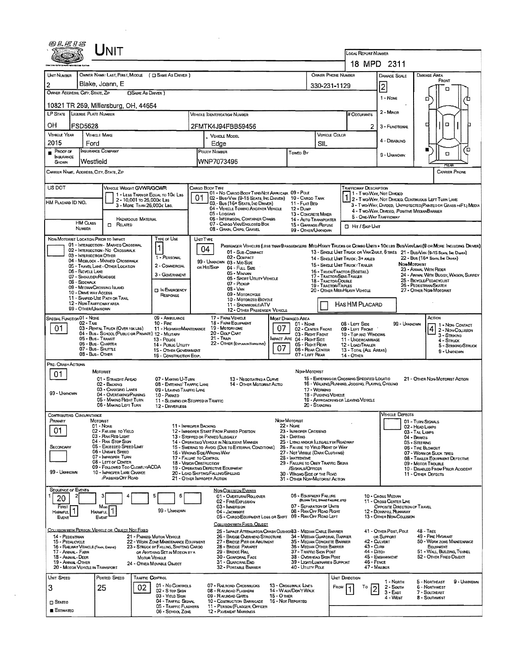|                                                               |                                                       | JNIT                                                                                                             |                                                         |                                                                                                             |                 |                                                                                                                  |                                              |                                                                                            |                                       |                                                                                    | <b>LOCAL REPORT NUMBER</b> |                                                                             |                                                                                                                                                                                                                   |
|---------------------------------------------------------------|-------------------------------------------------------|------------------------------------------------------------------------------------------------------------------|---------------------------------------------------------|-------------------------------------------------------------------------------------------------------------|-----------------|------------------------------------------------------------------------------------------------------------------|----------------------------------------------|--------------------------------------------------------------------------------------------|---------------------------------------|------------------------------------------------------------------------------------|----------------------------|-----------------------------------------------------------------------------|-------------------------------------------------------------------------------------------------------------------------------------------------------------------------------------------------------------------|
|                                                               |                                                       |                                                                                                                  |                                                         |                                                                                                             |                 |                                                                                                                  |                                              |                                                                                            |                                       |                                                                                    |                            | 18 MPD 2311                                                                 |                                                                                                                                                                                                                   |
| UNT NUMBER                                                    |                                                       |                                                                                                                  |                                                         | OWNER NAME: LAST, FIRST, MIDDLE ( C SAME AS DRIVER )                                                        |                 |                                                                                                                  |                                              |                                                                                            |                                       | OWNER PHONE NUMBER                                                                 |                            | DAMAGE SCALE                                                                | DAMAGE AREA<br>FRONT                                                                                                                                                                                              |
| 2<br>OWNER ADDRESS; CITY, STATE, ZIP                          |                                                       | Blake, Joann, E                                                                                                  | <b>CISAME AS DRIVER</b> )                               |                                                                                                             |                 |                                                                                                                  |                                              |                                                                                            |                                       | 330-231-1129                                                                       |                            | $\overline{2}$                                                              | n                                                                                                                                                                                                                 |
|                                                               |                                                       | 10821 TR 269, Millersburg, OH, 44654                                                                             |                                                         |                                                                                                             |                 |                                                                                                                  |                                              |                                                                                            |                                       |                                                                                    |                            | $1 - None$                                                                  | o                                                                                                                                                                                                                 |
| <b>LP STATE</b>                                               | <b>LIGENSE PLATE NUMBER</b>                           |                                                                                                                  |                                                         |                                                                                                             |                 | Vehicle Identification Number                                                                                    |                                              |                                                                                            |                                       | # Occupants                                                                        |                            | 2 - MINOR                                                                   | $\Box$<br>о                                                                                                                                                                                                       |
| ΟH<br><b>VEHICLE YEAR</b>                                     | <b>FSD5628</b>                                        | <b>VEHICLE MAKE</b>                                                                                              |                                                         |                                                                                                             |                 | 2FMTK4J94FBB59456<br><b>VEHICLE MODEL</b>                                                                        |                                              |                                                                                            |                                       | VEHICLE COLOR                                                                      | 2                          | 3 - FUNCTIONAL                                                              |                                                                                                                                                                                                                   |
| 2015<br>PROOF OF                                              | Ford                                                  | <b>INSURANCE COMPANY</b>                                                                                         |                                                         |                                                                                                             |                 | Edge<br>POLICY NUMBER                                                                                            |                                              | Towed By                                                                                   | SIL                                   |                                                                                    |                            | 4 - Disabling                                                               | к                                                                                                                                                                                                                 |
| <b>INSURANCE</b><br>SHOWN                                     | Westfield                                             |                                                                                                                  |                                                         |                                                                                                             |                 | WNP7073496                                                                                                       |                                              |                                                                                            |                                       |                                                                                    |                            | 9 - Unixinown                                                               | α<br><b>RFAR</b>                                                                                                                                                                                                  |
|                                                               |                                                       | CARRIER NAME, ADDRESS, CITY, STATE, ZIP                                                                          |                                                         |                                                                                                             |                 |                                                                                                                  |                                              |                                                                                            |                                       |                                                                                    |                            |                                                                             | <b>CARRIER PHONE</b>                                                                                                                                                                                              |
| US DOT                                                        |                                                       | VEHICLE WEIGHT GVWR/GCWR                                                                                         |                                                         | 1 - LESS THAN OR EQUAL TO 10K LBS                                                                           |                 | CARGO BODY TYPE<br>01 - No CARGO BODY TYPE/NOT APPLICABL 09 - POLE                                               |                                              |                                                                                            |                                       | TRAFFICWAY DESCRIPTION                                                             |                            | 1 - Two-Way, Not Divideo                                                    |                                                                                                                                                                                                                   |
| HM PLACARD ID NO.                                             |                                                       |                                                                                                                  | 2 - 10,001 to 26,000x Las<br>3 - MORE THAN 26,000K LBS. |                                                                                                             | 01              | 02 - Bus/Van (9-15 Seats, Inc Driver)<br>03 - Bus (16+ Seats, Inc Driver)<br>04 - VEHICLE TOWING ANOTHER VEHICLE |                                              | 10 - CARGO TANK<br>11 - FLAT BED<br>12 - Dump                                              |                                       |                                                                                    |                            |                                                                             | 2 - T WO WAY, NOT DIVIDED, CONTINUOUS LEFT TURN LANE<br>3 - T WO-WAY, DIVIDED, UNPROTECTED (PAINTED OR GRASS >4FT.) MEDIA                                                                                         |
|                                                               | <b>HM CLASS</b>                                       |                                                                                                                  | <b>HAZARDOUS MATERIAL</b>                               |                                                                                                             |                 | 05 - Logging<br>06 - INTERMODAL CONTAINER CHASIS<br>07 - CARGO VAN ENGLOSED BOX                                  |                                              | 13 - CONGRETE MIXER<br>14 - AUTO TRANSPORTER                                               |                                       |                                                                                    |                            | 4 - T WO-WAY, DIMDED, POSITIVE MEDIANBARRIER<br>5 - ONE-WAY TRAFFICWAY      |                                                                                                                                                                                                                   |
|                                                               | <b>NUMBER</b>                                         | <b>CI RELATED</b>                                                                                                |                                                         |                                                                                                             |                 | 08 - GRAIN, CHIPS, GRAVEL                                                                                        |                                              | 15 - GARBAGE/REFUSE<br>99 - OTHER/UNKNOWN                                                  |                                       | $\Pi$ Hit / Skip Unit                                                              |                            |                                                                             |                                                                                                                                                                                                                   |
|                                                               |                                                       | NON-MOTORIST LOCATION PRIOR TO IMPACT<br>01 - INTERSECTION - MARKED CROSSWAL<br>02 - INTERSECTION - NO CROSSWALK |                                                         | <b>TYPE OF USE</b>                                                                                          | <b>UNIT YPE</b> | 04<br>01 - Sub-Compact                                                                                           |                                              |                                                                                            |                                       |                                                                                    |                            |                                                                             | PASSENGER VEHICLES (LESS THAN 9 PASSENGERS MEDIMEAVY TRUCKS OR COMBO UNTS > 10KLBS EUS/VAN/LIMO(9 OR MORE INCLUDING DRIVER)<br>13 - SINGLE UNIT TRUCK OR VAN 24XLE, 6 TIRES 21 - BUS/VAN (9-15 SEATS, ING DRIVER) |
|                                                               | 03 - INTERSECTION OTHER                               | 04 - MIDBLOCK - MARKED CROSSWALK<br>05 - TRAVEL LANE - OTHER LOCATION                                            |                                                         | 1 - PERSONAL<br>2 - COMMERCIAL                                                                              |                 | 02 - COMPACT<br>99 - UNKNOWN 03 - Mid Size                                                                       |                                              |                                                                                            |                                       | 14 - SINGLE UNIT TRUCK: 3+ AXLES<br>15 - SINGLE UNIT TRUCK / TRAILER               |                            |                                                                             | 22 - Bus (16+ Seats, Ing Driver)<br>NON-MOTORIST                                                                                                                                                                  |
|                                                               | 06 - BICYCLE LANE<br>07 - Shoulder/Roadside           |                                                                                                                  |                                                         | 3 - GOVERNMENT                                                                                              |                 | OR HIT/SKIP<br>04 - Full Size<br>05 - Minivan<br>05 - Sport Utluty Vehicle                                       |                                              |                                                                                            |                                       | 16 - TRUCK/TRACTOR (BOSTAL)<br>17 - Tractor/Seni-Traller                           |                            |                                                                             | 23 - ANIMAL WITH FUDER<br>24 - ANIMAL WITH BUGGY, WAGON, SURREY<br>25 - BICYCLE/PEDACYCLIST                                                                                                                       |
|                                                               | 08 - Sidewalk<br>10 - DRIVE WAY ACCESS                | 09 - MEDIAN CROSSING ISLAND                                                                                      |                                                         | <b>DIN EMERGENCY</b>                                                                                        |                 | $07 -$ Pickup<br>$08 - VAN$                                                                                      |                                              |                                                                                            |                                       | 18 - TRACTOR/DOUBLE<br><b>19 - TRACTOR/TRIPLES</b><br>20 - OTHER MEDIMEAVY VEHICLE |                            |                                                                             | 26 - PEDESTRIAN SKATER<br>27 - OTHER NON-MOTORIST                                                                                                                                                                 |
|                                                               | 12 - NON-TRAFFICWAY AREA<br><b>99 - OTHER/UNKNOWN</b> | 11 - SHARED-USE PATH OR TRAIL                                                                                    |                                                         | RESPONSE                                                                                                    |                 | 09 - MOTORCYCLE<br>10 - Motorizen Bicycle<br>11 - SNOWMOBILE/ATV                                                 |                                              |                                                                                            |                                       | HAS HM PLACARD                                                                     |                            |                                                                             |                                                                                                                                                                                                                   |
| SPECIAL FUNCTION 01 - NONE                                    | 02 - Тахі                                             |                                                                                                                  |                                                         | 09 - AMBULANCE<br>$10 -$ Fire                                                                               |                 | 12 - OTHER PASSENGER VEHICLE<br>17 - FARM VEHICLE<br>18 - FARM EQUIPMENT                                         | MOST DAMAGED AREA                            |                                                                                            |                                       |                                                                                    |                            |                                                                             | ACTION                                                                                                                                                                                                            |
| 01                                                            |                                                       | 03 - RENTAL TRUCK (OVER 10KLBS)<br>04 - Bus - SCHOOL (PUBLIC OR PRIVATE) 12 - MILITARY                           |                                                         | 11 - Highway/MANTENANCE                                                                                     |                 | 19 - MOTORHOME<br>20 - Gouf Cart                                                                                 | 07                                           | 01 - None<br>03 - Right Front                                                              | 02 - CENTER FRONT                     | 08 - LEFT SIDE<br>09 - LEFT FRONT<br>10 - TOP AND WINDOWS                          |                            | 99 - UNKNOWN                                                                | 1 - Non Contact<br>4 2 - Non-Coursion<br>3 - Struking                                                                                                                                                             |
|                                                               |                                                       | 05 - Bus - Transit<br>06 - Bus - CHARTER<br>07 - Bus - SHUTTLE                                                   |                                                         | 13 - Pouce<br>14 - PUBLIC LITTLITY<br>15 - OTHER GOVERNMENT                                                 |                 | 21 - TRAN<br>22 - OTHER (EXPLAININARRATIVE)                                                                      | <b>IMPACT ARE 04 - RIGHT SIDE</b><br>07      | 05 - Right Rear                                                                            | 06 - REAR CENTER                      | 11 - UNDERCARRIAGE<br>12 - LOAD/TRAILER<br>13 - TOTAL (ALL AREAS)                  |                            |                                                                             | 4 - Struck<br>5 - STRIKING/STRUCK<br>9 - Unknown                                                                                                                                                                  |
| Pre- Crash Actions                                            | 08 - Bus - OTHER                                      |                                                                                                                  |                                                         | 16 - CONSTRUCTION ECSP.                                                                                     |                 |                                                                                                                  |                                              | 07 - LEFT REAR                                                                             |                                       | 14 - OTHER                                                                         |                            |                                                                             |                                                                                                                                                                                                                   |
| 01                                                            |                                                       | MOTORIST<br>01 - STRAIGHT AHEAD                                                                                  |                                                         | 07 - MAKING U-TURN                                                                                          |                 | 13 - Negotiating a Curve                                                                                         |                                              | NON MOTORIST                                                                               |                                       | 15 - EMTERING OR CROSSING SPECIFIED LOCATIO                                        |                            |                                                                             | 21 - OTHER NDN-MOTORIST ACTION                                                                                                                                                                                    |
| 99 - Unknown                                                  |                                                       | 02 - BACKING<br>03 - CHANGING LANES                                                                              |                                                         | 08 - ENTERING TRAFFIC LANE<br>09 - LEAVING TRAFFIC LANE                                                     |                 | 14 - Other Motorist Actio                                                                                        |                                              |                                                                                            | 17 - Working                          | 16 - WALKING, RUNNING, JOGGING, PLAYING, CYCLING                                   |                            |                                                                             |                                                                                                                                                                                                                   |
|                                                               |                                                       | 04 - Overtaxing/Passing<br>05 - MAKING RIGHT TURN<br>06 - MAKING LEFT TURN                                       |                                                         | 10 - PARKED<br>11 - Slowing or Stopped in Traffic<br>12 - DRIVERLESS                                        |                 |                                                                                                                  |                                              |                                                                                            | 18 - Pushing Vehicle<br>20 - Standing | 19 - APPROACHING OR LEAVING VEHICLE                                                |                            |                                                                             |                                                                                                                                                                                                                   |
| PRIMARY                                                       | CONTRIBUTING CIRCUMSTANCE                             | <b>MOTORIST</b>                                                                                                  |                                                         |                                                                                                             |                 |                                                                                                                  | Non-Motorist                                 |                                                                                            |                                       |                                                                                    |                            | <b>VEHICLE DEFECTS</b>                                                      | 01 - TURN SIGNALS                                                                                                                                                                                                 |
| 01                                                            |                                                       | 01 - None<br>02 - FAILURE TO YIELD<br>03 - RAN RED LIGHT                                                         |                                                         | 11 - IMPROPER BACKING                                                                                       |                 | 12 - IMPROPER START FROM PARKED POSITION<br>13 - STOPPED OR PARKED ILLEGALLY                                     | <b>22 - NONE</b><br>24 - DARTING             | 23 - IMPROPER CROSSING                                                                     |                                       |                                                                                    |                            |                                                                             | 02 - HEAD LAMPS<br>03 - TAIL LAMPS                                                                                                                                                                                |
| SECONDARY                                                     |                                                       | 04 - RAN STOP SIGN<br>05 - Exceeded Speed Limit                                                                  |                                                         |                                                                                                             |                 | 14 - OPERATING VEHICLE IN NEGLIGENT MANNER<br>15 - SWERING TO AVOID (DUE TO EXTERNAL CONDITIONS)                 |                                              | 26 - FALURE TO YIELD RIGHT OF WAY                                                          |                                       | 25 - LYING AND/OR ILLEGALLY IN ROADWAY                                             |                            |                                                                             | 04 - BRAKES<br>05 - STEERING<br>06 - TIRE BLOWOUT                                                                                                                                                                 |
|                                                               |                                                       | 06 - UNSAFE SPEED<br>07 - INPROPER TURN<br>08 - LEFT OF CENTER                                                   |                                                         | 17 - FALURE TO CONTROL<br><b>18 - VISION OBSTRUCTION</b>                                                    |                 | 16 - WRONG SIDE/WRONG WAY                                                                                        |                                              | 27 - Not Visible (Dark Clothing)<br>28 - INATTENTIVE<br>29 - FAILURE TO OBEY TRAFFIC SIGNS |                                       |                                                                                    |                            |                                                                             | 07 - WORN OR SUCK TIRES<br>08 - TRAILER EQUIPMENT DEFECTIVE<br>09 - MOTOR TROUBLE                                                                                                                                 |
| 99 - Unknown                                                  |                                                       | 09 - FOLLOWED TOO CLOSELY/ACDA<br>10 - IMPROPER LANE CHANGE<br><b>PASSING OFF ROAD</b>                           |                                                         |                                                                                                             |                 | 19 - OPERATING DEFECTIVE EQUIPMENT<br>20 - LOAD SHIFTING/FALLING/SPILLING<br>21 - OTHER IMPROPER ACTION          |                                              | /SIGNALS/OFFICER<br>30 - WRONG SIDE OF THE ROAD                                            |                                       |                                                                                    |                            |                                                                             | 10 - DISABLED FROM PRIOR ACCIDENT<br>11 - OTHER DEFECTS                                                                                                                                                           |
| <b>SEQUENCE OF EVENTS</b>                                     |                                                       |                                                                                                                  |                                                         |                                                                                                             |                 | NON-COLLISION EVENTS                                                                                             |                                              | 31 - OTHER NON-MOTORIST ACTION                                                             |                                       |                                                                                    |                            |                                                                             |                                                                                                                                                                                                                   |
| 20<br>FIRST                                                   |                                                       | Most                                                                                                             |                                                         | 5<br>6                                                                                                      |                 | 01 - OVERTURN/ROLLOVER<br>02 - FIRE/EXPLOSION<br>03 - IMMERSION                                                  |                                              | 06 - EQUIPMENT FAILURE<br>07 - SEPARATION OF UNITS                                         | (BLOWN TIRE, BRAKE FAILIRE, ETC)      |                                                                                    |                            | 10 - Cross Median<br>11 - Cross CENTER LINE<br>OPPOSITE DIRECTION OF TRAVEL |                                                                                                                                                                                                                   |
| <b>HARMFUL</b><br>Event                                       |                                                       | HARMFUL<br>Event                                                                                                 |                                                         | 99 - Uniknown                                                                                               |                 | 04 - JACKKNIFE<br>05 - CARGO/EQUIPMENT LOSS OR SHIFT                                                             |                                              | 08 - RAN OFF ROAD RIGHT<br>09 - RAN OFF ROAD LEFT                                          |                                       |                                                                                    |                            | 12 - DOWNHILL RUNAWAY<br>13 - OTHER NON-COLLISION                           |                                                                                                                                                                                                                   |
|                                                               |                                                       | COLLISION WITH PERSON, VEHICLE OR OBJECT NOT FIXED                                                               |                                                         |                                                                                                             |                 | <u>Collision with Fixed, Object</u><br>25 - IMPACT ATTENUATOR/CRASH CUSHIONS3 - MEDIAN CABLE BARRIER             |                                              |                                                                                            |                                       |                                                                                    |                            | 41 - OTHER POST, POLE                                                       | <b>48 - TREE</b>                                                                                                                                                                                                  |
| 14 - PEDESTRIAN<br>15 - PEDALCYCLE                            | 16 - RALWAY VEHICLE (TRAIN, ENGINE)                   |                                                                                                                  |                                                         | 21 - PARKED MOTOR VEHICLE<br>22 - WORK ZONE MAINTENANCE EQUIPMENT<br>23 - STRUCK BY FALLING, SHIFTING CARGO |                 | 26 - BRIDGE OVERHEAD STRUCTURE<br>27 - BRIDGE PIER OR ABUTMENT<br>28 - BRIDGE PARAPET                            |                                              | 35 - MEDIAN OTHER BARRIER                                                                  |                                       | 34 - MEDIAN GUARDRAIL BARRIER<br>35 - MEDIAN CONCRETE BARRIER                      | 43 - Cure                  | OR SUPPORT<br>42 - Culvert                                                  | 49 - FIRE HYDRANT<br>50 - WORK ZONE MAINTENANCE<br>EQUIPMENT                                                                                                                                                      |
| 17 - Animal - Farm<br>18 - Annal - Deer<br>19 - Animal -Other |                                                       |                                                                                                                  | MOTOR VEHICLE                                           | OR ANYTHING SET IN MOTION BY A                                                                              |                 | 29 - Bridge Rail<br>30 - GUARDRAL FACE<br>31 - GUARDRAILEND                                                      |                                              | 37 - TRAFFIC SIGN POST<br>38 - Overhead Sign Post                                          |                                       | 39 - LIGHT/LUMINARIES SUPPORT                                                      | 44 - Олон<br>46 - FENCE    | 45 - ENBANKMENT                                                             | 51 - WALL BUILDING, TUNNEL<br>52 - OTHER FIXED OBJECT                                                                                                                                                             |
| UNIT SPEED                                                    | 20 - MOTOR VEHICLE IN TRANSPORT                       |                                                                                                                  | TRAFFIC CONTROL                                         | 24 - OTHER MOVABLE OBJECT                                                                                   |                 | 32 - PORTABLE BARRIER                                                                                            |                                              | 40 - UTILITY POLE                                                                          |                                       |                                                                                    | 47 - MAILBOX               |                                                                             |                                                                                                                                                                                                                   |
| 3                                                             |                                                       | Posted Speed<br>25                                                                                               | 02                                                      | 01 - No CONTROLS<br>02 - S TOP SIGN                                                                         |                 | 07 - RAILROAD CROSSBUCKS<br>08 - RALROAD FLASHERS                                                                | 13 - Crosswalk Lines<br>14 - WALK/DON'T WALK |                                                                                            |                                       | <b>UNIT DIRECTION</b><br>FROM                                                      | To<br> 2                   | 1 - North<br>2 - South                                                      | 5 - NORTHEAST<br>9 - Unknown<br>6 - NORTHWEST                                                                                                                                                                     |
| $\square$ Stateo                                              |                                                       |                                                                                                                  |                                                         | 03 - YIELD SIGN<br>04 - TRAFFIC SIGNAL                                                                      |                 | 09 - RALROAD GATES<br>10 - COSTRUCTION BARRICADE                                                                 | $15 -$ Other<br>16 - Nor Reported            |                                                                                            |                                       |                                                                                    |                            | $3 - E$ AST<br>4 - West                                                     | 7 - Southeast<br>8 - SOUTHWEST                                                                                                                                                                                    |
| <b>E</b> Estimated                                            |                                                       |                                                                                                                  |                                                         | 05 - Traffic Flashers<br>06 - SCHOOL ZONE                                                                   |                 | 11 - PERSON (FLAGGER, OFFICER<br>12 - PAVEMENT MARKINGS                                                          |                                              |                                                                                            |                                       |                                                                                    |                            |                                                                             |                                                                                                                                                                                                                   |

 $\mathcal{L}(\mathcal{A})$  .